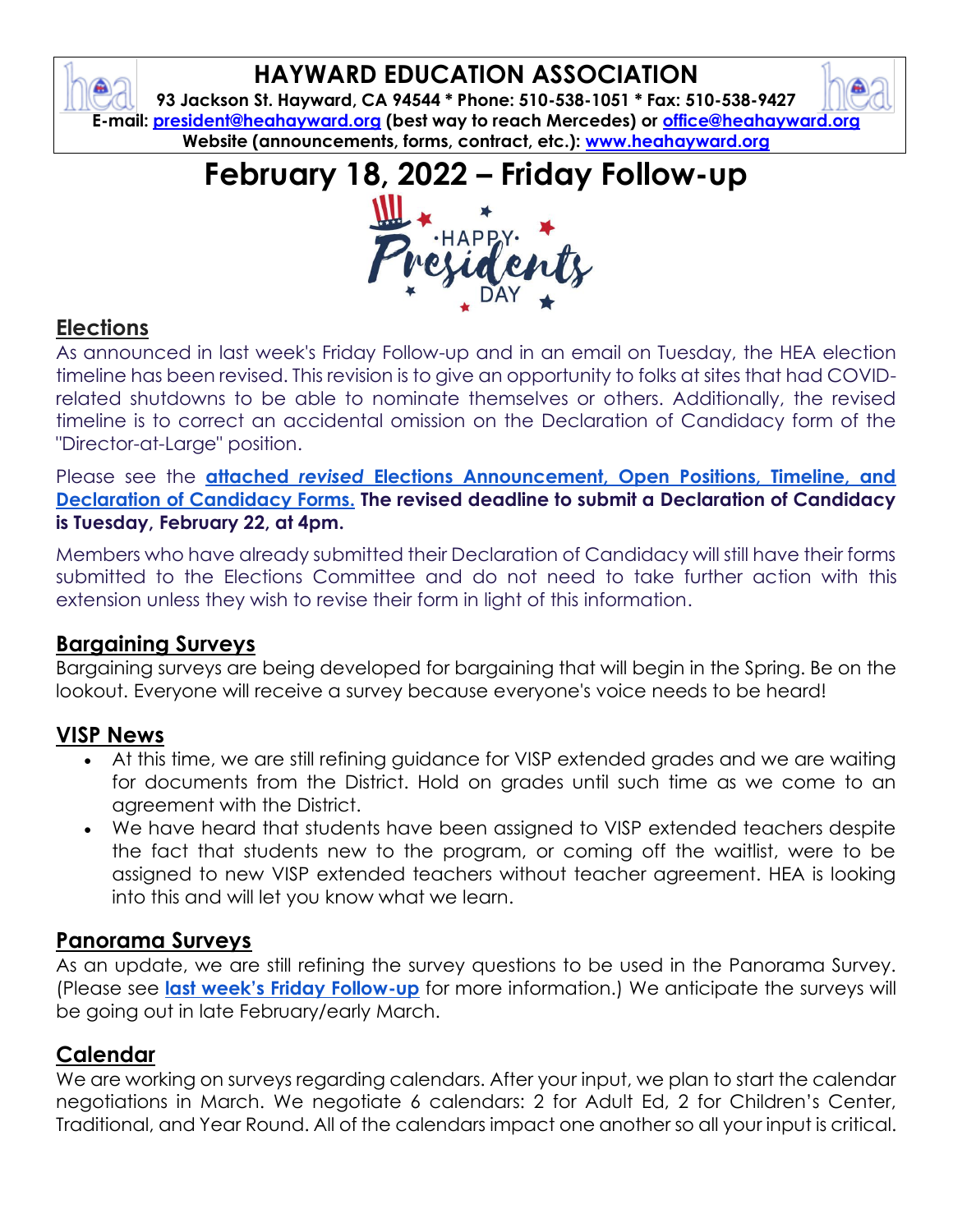# **HAYWARD EDUCATION ASSOCIATION**

**93 Jackson St. Hayward, CA 94544 \* Phone: 510-538-1051 \* Fax: 510-538-9427 E-mail: [president@heahayward.org](mailto:president@heahayward.org) (best way to reach Mercedes) or [office@heahayward.org](mailto:office@heahayward.org) Website (announcements, forms, contract, etc.): [www.heahayward.org](http://www.heahayward.org/)**

**February 18, 2022 – Friday Follow-up**



## **Elections**

As announced in last week's Friday Follow-up and in an email on Tuesday, the HEA election timeline has been revised. This revision is to give an opportunity to folks at sites that had COVIDrelated shutdowns to be able to nominate themselves or others. Additionally, the revised timeline is to correct an accidental omission on the Declaration of Candidacy form of the "Director-at-Large" position.

Please see the **attached** *revised* **[Elections Announcement, Open Positions, Timeline, and](https://drive.google.com/drive/folders/1viw-597yhWwB0PCnflHTaacaz8ttaGmZ?usp=sharing)  [Declaration of Candidacy Forms.](https://drive.google.com/drive/folders/1viw-597yhWwB0PCnflHTaacaz8ttaGmZ?usp=sharing) The revised deadline to submit a Declaration of Candidacy is Tuesday, February 22, at 4pm.**

Members who have already submitted their Declaration of Candidacy will still have their forms submitted to the Elections Committee and do not need to take further action with this extension unless they wish to revise their form in light of this information.

#### **Bargaining Surveys**

Bargaining surveys are being developed for bargaining that will begin in the Spring. Be on the lookout. Everyone will receive a survey because everyone's voice needs to be heard!

#### **VISP News**

- At this time, we are still refining guidance for VISP extended grades and we are waiting for documents from the District. Hold on grades until such time as we come to an agreement with the District.
- We have heard that students have been assigned to VISP extended teachers despite the fact that students new to the program, or coming off the waitlist, were to be assigned to new VISP extended teachers without teacher agreement. HEA is looking into this and will let you know what we learn.

#### **Panorama Surveys**

As an update, we are still refining the survey questions to be used in the Panorama Survey. (Please see **[last week's Friday Follow](https://drive.google.com/file/d/1cBt7aYDiA24-dT3wZ1Ub9YCC7Iojs1eB/view?usp=sharing)-up** for more information.) We anticipate the surveys will be going out in late February/early March.

#### **Calendar**

We are working on surveys regarding calendars. After your input, we plan to start the calendar negotiations in March. We negotiate 6 calendars: 2 for Adult Ed, 2 for Children's Center, Traditional, and Year Round. All of the calendars impact one another so all your input is critical.